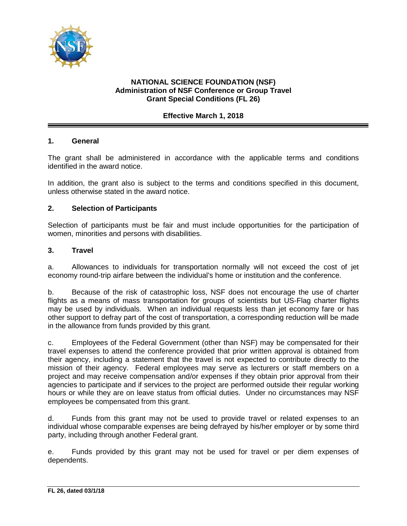

## **NATIONAL SCIENCE FOUNDATION (NSF) Administration of NSF Conference or Group Travel Grant Special Conditions (FL 26)**

## **Effective March 1, 2018**

## **1. General**

The grant shall be administered in accordance with the applicable terms and conditions identified in the award notice.

In addition, the grant also is subject to the terms and conditions specified in this document, unless otherwise stated in the award notice.

## **2. Selection of Participants**

Selection of participants must be fair and must include opportunities for the participation of women, minorities and persons with disabilities.

#### **3. Travel**

a. Allowances to individuals for transportation normally will not exceed the cost of jet economy round-trip airfare between the individual's home or institution and the conference.

b. Because of the risk of catastrophic loss, NSF does not encourage the use of charter flights as a means of mass transportation for groups of scientists but US-Flag charter flights may be used by individuals. When an individual requests less than jet economy fare or has other support to defray part of the cost of transportation, a corresponding reduction will be made in the allowance from funds provided by this grant.

c. Employees of the Federal Government (other than NSF) may be compensated for their travel expenses to attend the conference provided that prior written approval is obtained from their agency, including a statement that the travel is not expected to contribute directly to the mission of their agency. Federal employees may serve as lecturers or staff members on a project and may receive compensation and/or expenses if they obtain prior approval from their agencies to participate and if services to the project are performed outside their regular working hours or while they are on leave status from official duties. Under no circumstances may NSF employees be compensated from this grant.

d. Funds from this grant may not be used to provide travel or related expenses to an individual whose comparable expenses are being defrayed by his/her employer or by some third party, including through another Federal grant.

e. Funds provided by this grant may not be used for travel or per diem expenses of dependents.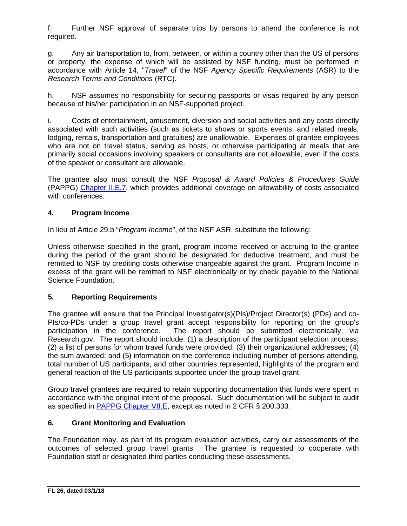f. Further NSF approval of separate trips by persons to attend the conference is not required.

g. Any air transportation to, from, between, or within a country other than the US of persons or property, the expense of which will be assisted by NSF funding, must be performed in accordance with Article 14, "*Travel*" of the NSF *Agency Specific Requirements* (ASR) to the *Research Terms and Conditions* (RTC).

h. NSF assumes no responsibility for securing passports or visas required by any person because of his/her participation in an NSF-supported project.

i. Costs of entertainment, amusement, diversion and social activities and any costs directly associated with such activities (such as tickets to shows or sports events, and related meals, lodging, rentals, transportation and gratuities) are unallowable. Expenses of grantee employees who are not on travel status, serving as hosts, or otherwise participating at meals that are primarily social occasions involving speakers or consultants are not allowable, even if the costs of the speaker or consultant are allowable.

The grantee also must consult the NSF *Proposal & Award Policies & Procedures Guide* (PAPPG) [Chapter II.E.7,](https://nsf.gov/pubs/policydocs/pappg18_1/pappg_2.jsp#IIE7) which provides additional coverage on allowability of costs associated with conferences.

# **4. Program Income**

In lieu of Article 29.b "*Program Income*", of the NSF ASR, substitute the following:

Unless otherwise specified in the grant, program income received or accruing to the grantee during the period of the grant should be designated for deductive treatment, and must be remitted to NSF by crediting costs otherwise chargeable against the grant. Program Income in excess of the grant will be remitted to NSF electronically or by check payable to the National Science Foundation.

# **5. Reporting Requirements**

The grantee will ensure that the Principal Investigator(s)(PIs)/Project Director(s) (PDs) and co-PIs/co-PDs under a group travel grant accept responsibility for reporting on the group's participation in the conference. The report should be submitted electronically, via Research.gov. The report should include: (1) a description of the participant selection process; (2) a list of persons for whom travel funds were provided; (3) their organizational addresses; (4) the sum awarded; and (5) information on the conference including number of persons attending, total number of US participants, and other countries represented, highlights of the program and general reaction of the US participants supported under the group travel grant.

Group travel grantees are required to retain supporting documentation that funds were spent in accordance with the original intent of the proposal. Such documentation will be subject to audit as specified in [PAPPG Chapter VII.E,](https://nsf.gov/pubs/policydocs/pappg18_1/pappg_7.jsp#VIIE) except as noted in 2 CFR § 200.333*.*

## **6. Grant Monitoring and Evaluation**

The Foundation may, as part of its program evaluation activities, carry out assessments of the outcomes of selected group travel grants. The grantee is requested to cooperate with Foundation staff or designated third parties conducting these assessments.